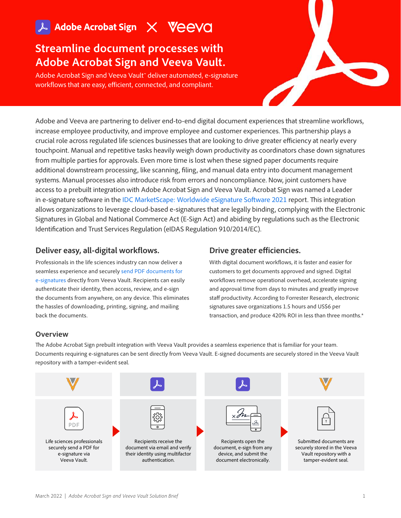# **Streamline document processes with Adobe Acrobat Sign and Veeva Vault.**

Adobe Acrobat Sign and Veeva Vault™ deliver automated, e-signature workflows that are easy, efficient, connected, and compliant.

Adobe and Veeva are partnering to deliver end-to-end digital document experiences that streamline workflows, increase employee productivity, and improve employee and customer experiences. This partnership plays a crucial role across regulated life sciences businesses that are looking to drive greater efficiency at nearly every touchpoint. Manual and repetitive tasks heavily weigh down productivity as coordinators chase down signatures from multiple parties for approvals. Even more time is lost when these signed paper documents require additional downstream processing, like scanning, filing, and manual data entry into document management systems. Manual processes also introduce risk from errors and noncompliance. Now, joint customers have access to a prebuilt integration with Adobe Acrobat Sign and Veeva Vault. Acrobat Sign was named a Leader in e-signature software in the [IDC MarketScape: Worldwide eSignature Software 2021](https://www.adobe.com/documentcloud/business/reports/e-signature-marketscape.html) report. This integration allows organizations to leverage cloud-based e-signatures that are legally binding, complying with the Electronic Signatures in Global and National Commerce Act (E-Sign Act) and abiding by regulations such as the Electronic Identification and Trust Services Regulation (eIDAS Regulation 910/2014/EC).

### **Deliver easy, all-digital workflows.**

Professionals in the life sciences industry can now deliver a seamless experience and securely [send PDF documents for](https://www.adobe.com/acrobat/online/request-signature.html)  [e-signatures](https://www.adobe.com/acrobat/online/request-signature.html) directly from Veeva Vault. Recipients can easily authenticate their identity, then access, review, and e-sign the documents from anywhere, on any device. This eliminates the hassles of downloading, printing, signing, and mailing back the documents.

### **Drive greater efficiencies.**

With digital document workflows, it is faster and easier for customers to get documents approved and signed. Digital workflows remove operational overhead, accelerate signing and approval time from days to minutes and greatly improve staff productivity. According to Forrester Research, electronic signatures save organizations 1.5 hours and US\$6 per transaction, and produce 420% ROI in less than three months.\*

### **Overview**

The Adobe Acrobat Sign prebuilt integration with Veeva Vault provides a seamless experience that is familiar for your team. Documents requiring e-signatures can be sent directly from Veeva Vault. E-signed documents are securely stored in the Veeva Vault repository with a tamper-evident seal.